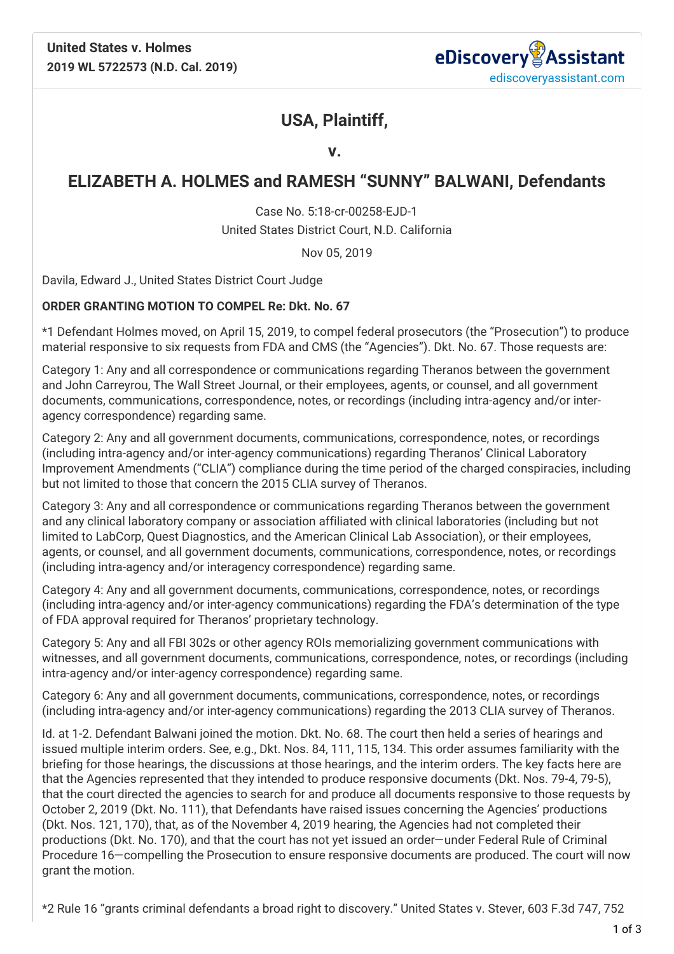

## **USA, Plaintiff,**

**v.**

## **ELIZABETH A. HOLMES and RAMESH "SUNNY" BALWANI, Defendants**

Case No. 5:18-cr-00258-EJD-1 United States District Court, N.D. California

Nov 05, 2019

Davila, Edward J., United States District Court Judge

## **ORDER GRANTING MOTION TO COMPEL Re: Dkt. No. 67**

\*1 Defendant Holmes moved, on April 15, 2019, to compel federal prosecutors (the "Prosecution") to produce material responsive to six requests from FDA and CMS (the "Agencies"). Dkt. No. 67. Those requests are:

Category 1: Any and all correspondence or communications regarding Theranos between the government and John Carreyrou, The Wall Street Journal, or their employees, agents, or counsel, and all government documents, communications, correspondence, notes, or recordings (including intra-agency and/or interagency correspondence) regarding same.

Category 2: Any and all government documents, communications, correspondence, notes, or recordings (including intra-agency and/or inter-agency communications) regarding Theranos' Clinical Laboratory Improvement Amendments ("CLIA") compliance during the time period of the charged conspiracies, including but not limited to those that concern the 2015 CLIA survey of Theranos.

Category 3: Any and all correspondence or communications regarding Theranos between the government and any clinical laboratory company or association affiliated with clinical laboratories (including but not limited to LabCorp, Quest Diagnostics, and the American Clinical Lab Association), or their employees, agents, or counsel, and all government documents, communications, correspondence, notes, or recordings (including intra-agency and/or interagency correspondence) regarding same.

Category 4: Any and all government documents, communications, correspondence, notes, or recordings (including intra-agency and/or inter-agency communications) regarding the FDA's determination of the type of FDA approval required for Theranos' proprietary technology.

Category 5: Any and all FBI 302s or other agency ROIs memorializing government communications with witnesses, and all government documents, communications, correspondence, notes, or recordings (including intra-agency and/or inter-agency correspondence) regarding same.

Category 6: Any and all government documents, communications, correspondence, notes, or recordings (including intra-agency and/or inter-agency communications) regarding the 2013 CLIA survey of Theranos.

Id. at 1-2. Defendant Balwani joined the motion. Dkt. No. 68. The court then held a series of hearings and issued multiple interim orders. See, e.g., Dkt. Nos. 84, 111, 115, 134. This order assumes familiarity with the briefing for those hearings, the discussions at those hearings, and the interim orders. The key facts here are that the Agencies represented that they intended to produce responsive documents (Dkt. Nos. 79-4, 79-5), that the court directed the agencies to search for and produce all documents responsive to those requests by October 2, 2019 (Dkt. No. 111), that Defendants have raised issues concerning the Agencies' productions (Dkt. Nos. 121, 170), that, as of the November 4, 2019 hearing, the Agencies had not completed their productions (Dkt. No. 170), and that the court has not yet issued an order—under Federal Rule of Criminal Procedure 16—compelling the Prosecution to ensure responsive documents are produced. The court will now grant the motion.

\*2 Rule 16 "grants criminal defendants a broad right to discovery." United States v. Stever, 603 F.3d 747, 752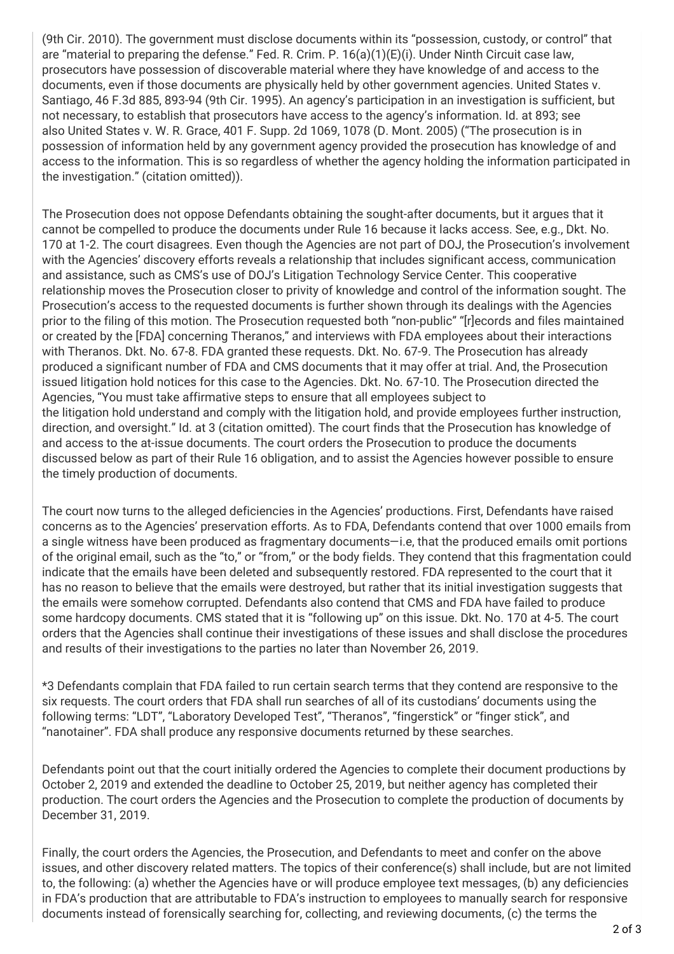(9th Cir. 2010). The government must disclose documents within its "possession, custody, or control" that are "material to preparing the defense." Fed. R. Crim. P. 16(a)(1)(E)(i). Under Ninth Circuit case law, prosecutors have possession of discoverable material where they have knowledge of and access to the documents, even if those documents are physically held by other government agencies. United States v. Santiago, 46 F.3d 885, 893-94 (9th Cir. 1995). An agency's participation in an investigation is sufficient, but not necessary, to establish that prosecutors have access to the agency's information. Id. at 893; see also United States v. W. R. Grace, 401 F. Supp. 2d 1069, 1078 (D. Mont. 2005) ("The prosecution is in possession of information held by any government agency provided the prosecution has knowledge of and access to the information. This is so regardless of whether the agency holding the information participated in the investigation." (citation omitted)).

The Prosecution does not oppose Defendants obtaining the sought-after documents, but it argues that it cannot be compelled to produce the documents under Rule 16 because it lacks access. See, e.g., Dkt. No. 170 at 1-2. The court disagrees. Even though the Agencies are not part of DOJ, the Prosecution's involvement with the Agencies' discovery efforts reveals a relationship that includes significant access, communication and assistance, such as CMS's use of DOJ's Litigation Technology Service Center. This cooperative relationship moves the Prosecution closer to privity of knowledge and control of the information sought. The Prosecution's access to the requested documents is further shown through its dealings with the Agencies prior to the filing of this motion. The Prosecution requested both "non-public" "[r]ecords and files maintained or created by the [FDA] concerning Theranos," and interviews with FDA employees about their interactions with Theranos. Dkt. No. 67-8. FDA granted these requests. Dkt. No. 67-9. The Prosecution has already produced a significant number of FDA and CMS documents that it may offer at trial. And, the Prosecution issued litigation hold notices for this case to the Agencies. Dkt. No. 67-10. The Prosecution directed the Agencies, "You must take affirmative steps to ensure that all employees subject to the litigation hold understand and comply with the litigation hold, and provide employees further instruction, direction, and oversight." Id. at 3 (citation omitted). The court finds that the Prosecution has knowledge of and access to the at-issue documents. The court orders the Prosecution to produce the documents discussed below as part of their Rule 16 obligation, and to assist the Agencies however possible to ensure the timely production of documents.

The court now turns to the alleged deficiencies in the Agencies' productions. First, Defendants have raised concerns as to the Agencies' preservation efforts. As to FDA, Defendants contend that over 1000 emails from a single witness have been produced as fragmentary documents—i.e, that the produced emails omit portions of the original email, such as the "to," or "from," or the body fields. They contend that this fragmentation could indicate that the emails have been deleted and subsequently restored. FDA represented to the court that it has no reason to believe that the emails were destroyed, but rather that its initial investigation suggests that the emails were somehow corrupted. Defendants also contend that CMS and FDA have failed to produce some hardcopy documents. CMS stated that it is "following up" on this issue. Dkt. No. 170 at 4-5. The court orders that the Agencies shall continue their investigations of these issues and shall disclose the procedures and results of their investigations to the parties no later than November 26, 2019.

\*3 Defendants complain that FDA failed to run certain search terms that they contend are responsive to the six requests. The court orders that FDA shall run searches of all of its custodians' documents using the following terms: "LDT", "Laboratory Developed Test", "Theranos", "fingerstick" or "finger stick", and "nanotainer". FDA shall produce any responsive documents returned by these searches.

Defendants point out that the court initially ordered the Agencies to complete their document productions by October 2, 2019 and extended the deadline to October 25, 2019, but neither agency has completed their production. The court orders the Agencies and the Prosecution to complete the production of documents by December 31, 2019.

Finally, the court orders the Agencies, the Prosecution, and Defendants to meet and confer on the above issues, and other discovery related matters. The topics of their conference(s) shall include, but are not limited to, the following: (a) whether the Agencies have or will produce employee text messages, (b) any deficiencies in FDA's production that are attributable to FDA's instruction to employees to manually search for responsive documents instead of forensically searching for, collecting, and reviewing documents, (c) the terms the